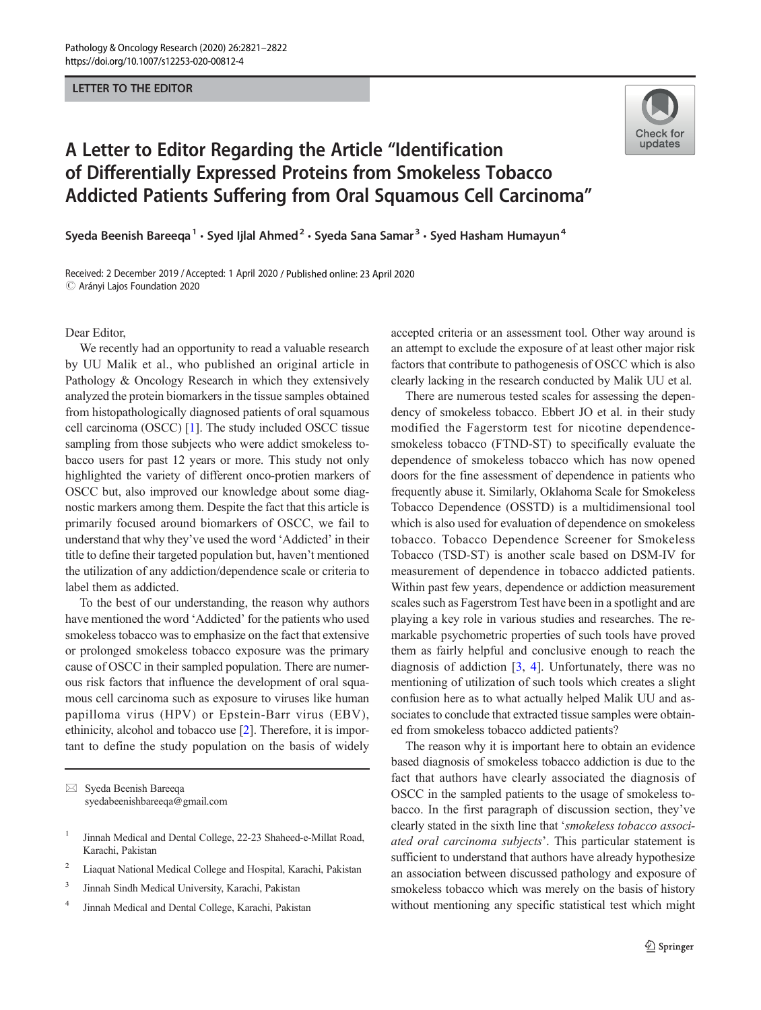## LETTER TO THE EDITOR



## A Letter to Editor Regarding the Article "Identification of Differentially Expressed Proteins from Smokeless Tobacco Addicted Patients Suffering from Oral Squamous Cell Carcinoma"

Syeda Beenish Bareeqa<sup>1</sup>  $\cdot$  Syed Ijlal Ahmed<sup>2</sup>  $\cdot$  Syeda Sana Samar<sup>3</sup>  $\cdot$  Syed Hasham Humayun<sup>4</sup>

Received: 2 December 2019 /Accepted: 1 April 2020 / Published online: 23 April 2020  $\odot$  Arányi Lajos Foundation 2020

Dear Editor,

We recently had an opportunity to read a valuable research by UU Malik et al., who published an original article in Pathology & Oncology Research in which they extensively analyzed the protein biomarkers in the tissue samples obtained from histopathologically diagnosed patients of oral squamous cell carcinoma (OSCC) [\[1](#page-1-0)]. The study included OSCC tissue sampling from those subjects who were addict smokeless tobacco users for past 12 years or more. This study not only highlighted the variety of different onco-protien markers of OSCC but, also improved our knowledge about some diagnostic markers among them. Despite the fact that this article is primarily focused around biomarkers of OSCC, we fail to understand that why they've used the word 'Addicted' in their title to define their targeted population but, haven't mentioned the utilization of any addiction/dependence scale or criteria to label them as addicted.

To the best of our understanding, the reason why authors have mentioned the word 'Addicted' for the patients who used smokeless tobacco was to emphasize on the fact that extensive or prolonged smokeless tobacco exposure was the primary cause of OSCC in their sampled population. There are numerous risk factors that influence the development of oral squamous cell carcinoma such as exposure to viruses like human papilloma virus (HPV) or Epstein-Barr virus (EBV), ethinicity, alcohol and tobacco use [\[2](#page-1-0)]. Therefore, it is important to define the study population on the basis of widely

 $\boxtimes$  Syeda Beenish Bareeqa [syedabeenishbareeqa@gmail.com](mailto:syedabeenishbareeqa@gmail.com)

- <sup>2</sup> Liaquat National Medical College and Hospital, Karachi, Pakistan
- <sup>3</sup> Jinnah Sindh Medical University, Karachi, Pakistan
- <sup>4</sup> Jinnah Medical and Dental College, Karachi, Pakistan

accepted criteria or an assessment tool. Other way around is an attempt to exclude the exposure of at least other major risk factors that contribute to pathogenesis of OSCC which is also clearly lacking in the research conducted by Malik UU et al.

There are numerous tested scales for assessing the dependency of smokeless tobacco. Ebbert JO et al. in their study modified the Fagerstorm test for nicotine dependencesmokeless tobacco (FTND-ST) to specifically evaluate the dependence of smokeless tobacco which has now opened doors for the fine assessment of dependence in patients who frequently abuse it. Similarly, Oklahoma Scale for Smokeless Tobacco Dependence (OSSTD) is a multidimensional tool which is also used for evaluation of dependence on smokeless tobacco. Tobacco Dependence Screener for Smokeless Tobacco (TSD-ST) is another scale based on DSM-IV for measurement of dependence in tobacco addicted patients. Within past few years, dependence or addiction measurement scales such as Fagerstrom Test have been in a spotlight and are playing a key role in various studies and researches. The remarkable psychometric properties of such tools have proved them as fairly helpful and conclusive enough to reach the diagnosis of addiction [[3,](#page-1-0) [4](#page-1-0)]. Unfortunately, there was no mentioning of utilization of such tools which creates a slight confusion here as to what actually helped Malik UU and associates to conclude that extracted tissue samples were obtained from smokeless tobacco addicted patients?

The reason why it is important here to obtain an evidence based diagnosis of smokeless tobacco addiction is due to the fact that authors have clearly associated the diagnosis of OSCC in the sampled patients to the usage of smokeless tobacco. In the first paragraph of discussion section, they've clearly stated in the sixth line that 'smokeless tobacco associated oral carcinoma subjects'. This particular statement is sufficient to understand that authors have already hypothesize an association between discussed pathology and exposure of smokeless tobacco which was merely on the basis of history without mentioning any specific statistical test which might

<sup>&</sup>lt;sup>1</sup> Jinnah Medical and Dental College, 22-23 Shaheed-e-Millat Road, Karachi, Pakistan